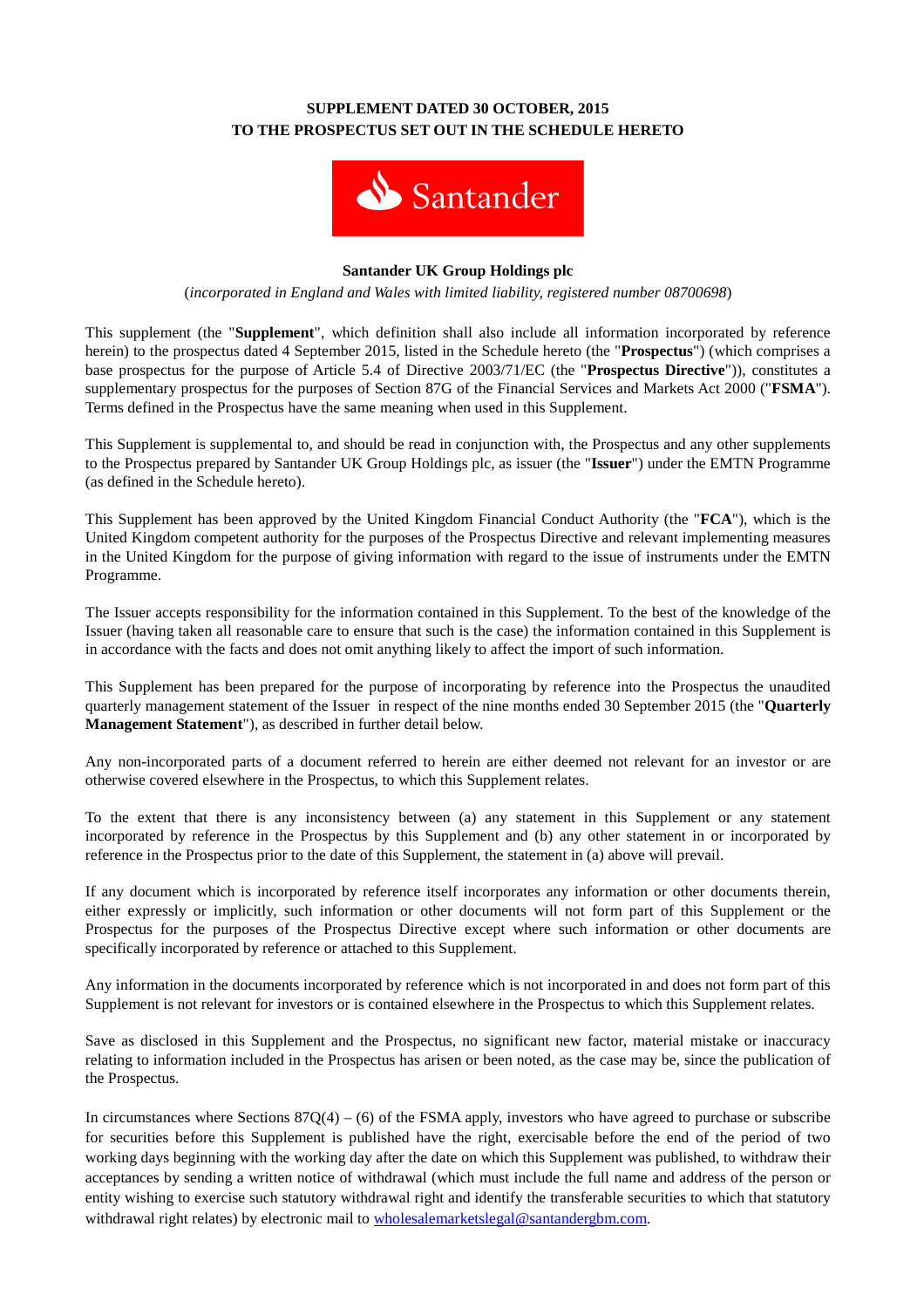## **SUPPLEMENT DATED 30 OCTOBER, 2015 TO THE PROSPECTUS SET OUT IN THE SCHEDULE HERETO**



#### **Santander UK Group Holdings plc**

(*incorporated in England and Wales with limited liability, registered number 08700698*)

This supplement (the "**Supplement**", which definition shall also include all information incorporated by reference herein) to the prospectus dated 4 September 2015, listed in the Schedule hereto (the "**Prospectus**") (which comprises a base prospectus for the purpose of Article 5.4 of Directive 2003/71/EC (the "**Prospectus Directive**")), constitutes a supplementary prospectus for the purposes of Section 87G of the Financial Services and Markets Act 2000 ("**FSMA**"). Terms defined in the Prospectus have the same meaning when used in this Supplement.

This Supplement is supplemental to, and should be read in conjunction with, the Prospectus and any other supplements to the Prospectus prepared by Santander UK Group Holdings plc, as issuer (the "**Issuer**") under the EMTN Programme (as defined in the Schedule hereto).

This Supplement has been approved by the United Kingdom Financial Conduct Authority (the "**FCA**"), which is the United Kingdom competent authority for the purposes of the Prospectus Directive and relevant implementing measures in the United Kingdom for the purpose of giving information with regard to the issue of instruments under the EMTN Programme.

The Issuer accepts responsibility for the information contained in this Supplement. To the best of the knowledge of the Issuer (having taken all reasonable care to ensure that such is the case) the information contained in this Supplement is in accordance with the facts and does not omit anything likely to affect the import of such information.

This Supplement has been prepared for the purpose of incorporating by reference into the Prospectus the unaudited quarterly management statement of the Issuer in respect of the nine months ended 30 September 2015 (the "**Quarterly Management Statement**"), as described in further detail below.

Any non-incorporated parts of a document referred to herein are either deemed not relevant for an investor or are otherwise covered elsewhere in the Prospectus, to which this Supplement relates.

To the extent that there is any inconsistency between (a) any statement in this Supplement or any statement incorporated by reference in the Prospectus by this Supplement and (b) any other statement in or incorporated by reference in the Prospectus prior to the date of this Supplement, the statement in (a) above will prevail.

If any document which is incorporated by reference itself incorporates any information or other documents therein, either expressly or implicitly, such information or other documents will not form part of this Supplement or the Prospectus for the purposes of the Prospectus Directive except where such information or other documents are specifically incorporated by reference or attached to this Supplement.

Any information in the documents incorporated by reference which is not incorporated in and does not form part of this Supplement is not relevant for investors or is contained elsewhere in the Prospectus to which this Supplement relates.

Save as disclosed in this Supplement and the Prospectus, no significant new factor, material mistake or inaccuracy relating to information included in the Prospectus has arisen or been noted, as the case may be, since the publication of the Prospectus.

In circumstances where Sections  $87Q(4) - (6)$  of the FSMA apply, investors who have agreed to purchase or subscribe for securities before this Supplement is published have the right, exercisable before the end of the period of two working days beginning with the working day after the date on which this Supplement was published, to withdraw their acceptances by sending a written notice of withdrawal (which must include the full name and address of the person or entity wishing to exercise such statutory withdrawal right and identify the transferable securities to which that statutory withdrawal right relates) by electronic mail to wholesalemarketslegal@santandergbm.com.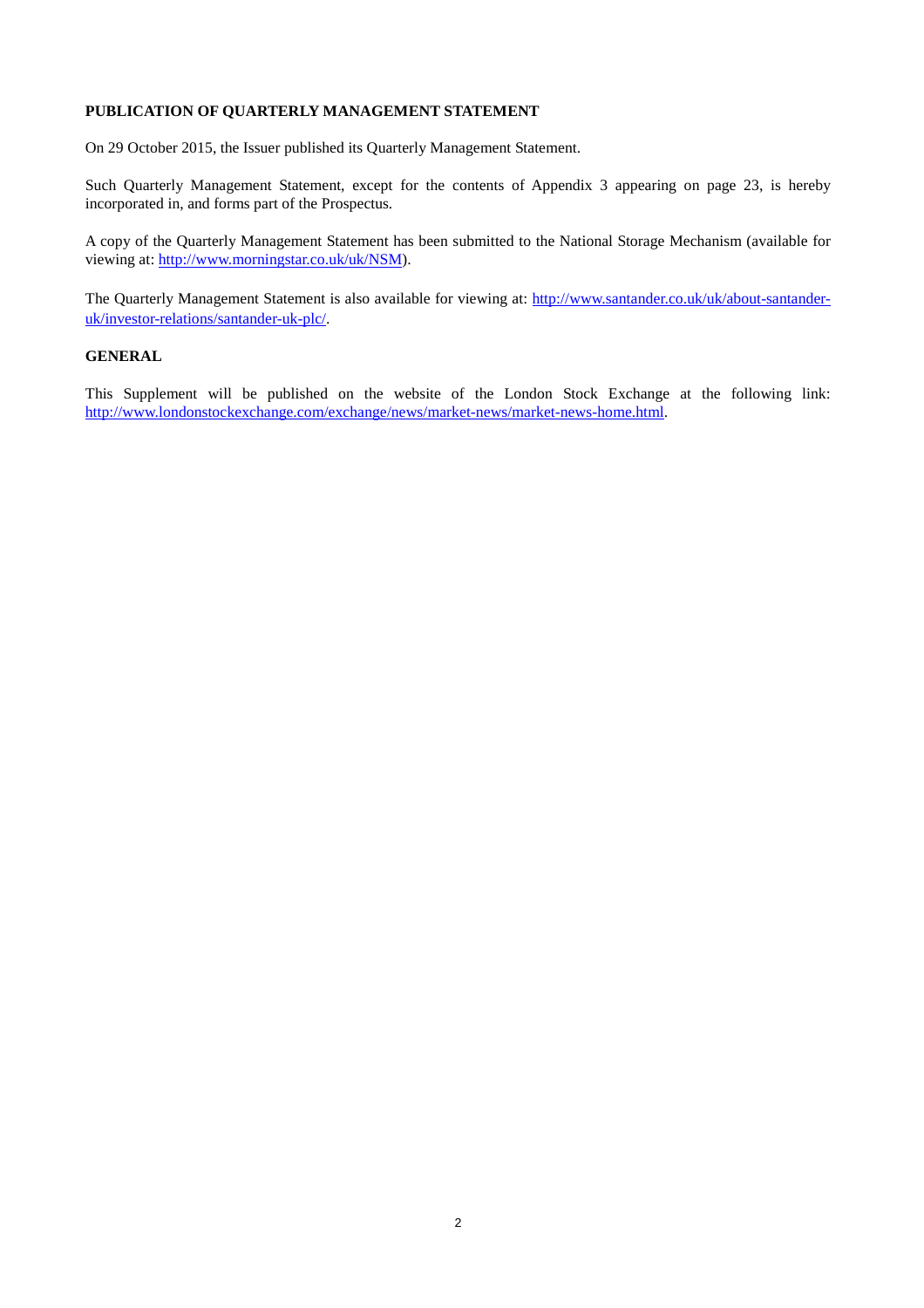### **PUBLICATION OF QUARTERLY MANAGEMENT STATEMENT**

On 29 October 2015, the Issuer published its Quarterly Management Statement.

Such Quarterly Management Statement, except for the contents of Appendix 3 appearing on page 23, is hereby incorporated in, and forms part of the Prospectus.

A copy of the Quarterly Management Statement has been submitted to the National Storage Mechanism (available for viewing at: http://www.morningstar.co.uk/uk/NSM).

The Quarterly Management Statement is also available for viewing at: http://www.santander.co.uk/uk/about-santanderuk/investor-relations/santander-uk-plc/.

#### **GENERAL**

This Supplement will be published on the website of the London Stock Exchange at the following link: http://www.londonstockexchange.com/exchange/news/market-news/market-news-home.html.